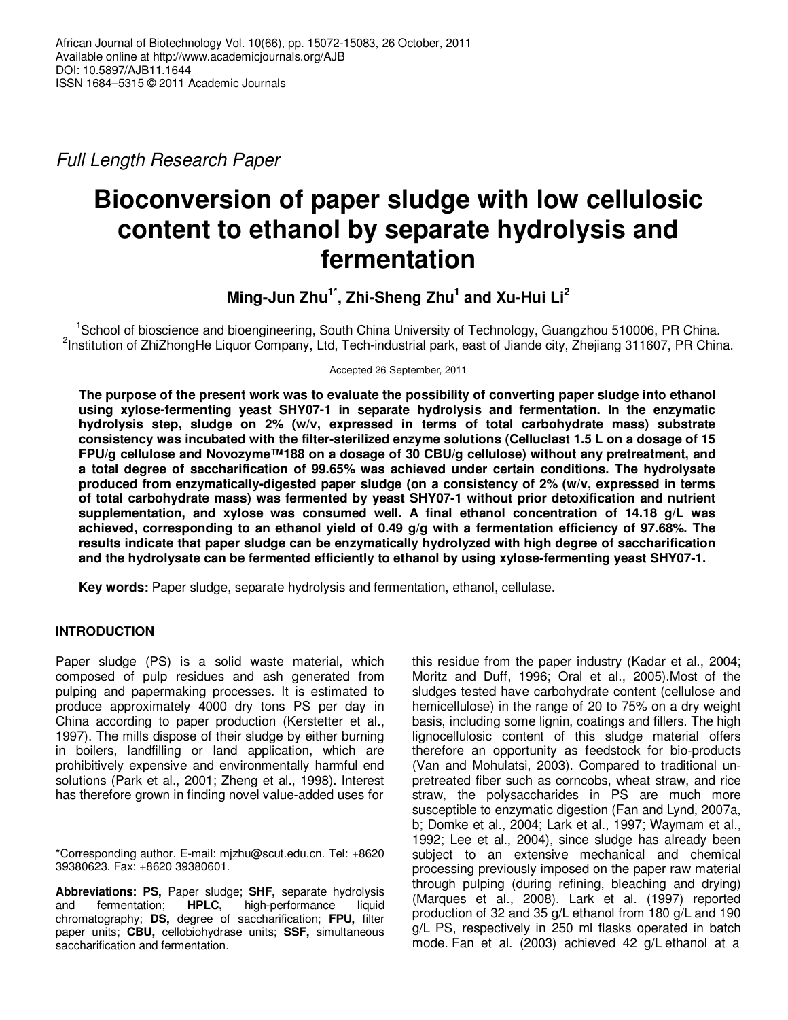Full Length Research Paper

# **Bioconversion of paper sludge with low cellulosic content to ethanol by separate hydrolysis and fermentation**

**Ming-Jun Zhu1\*, Zhi-Sheng Zhu<sup>1</sup> and Xu-Hui Li<sup>2</sup>**

<sup>1</sup>School of bioscience and bioengineering, South China University of Technology, Guangzhou 510006, PR China. <sup>2</sup>Institution of ZhiZhongHe Liquor Company, Ltd, Tech-industrial park, east of Jiande city, Zhejiang 311607, PR China.

Accepted 26 September, 2011

**The purpose of the present work was to evaluate the possibility of converting paper sludge into ethanol using xylose-fermenting yeast SHY07-1 in separate hydrolysis and fermentation. In the enzymatic hydrolysis step, sludge on 2% (w/v, expressed in terms of total carbohydrate mass) substrate consistency was incubated with the filter-sterilized enzyme solutions (Celluclast 1.5 L on a dosage of 15 FPU/g cellulose and Novozyme™188 on a dosage of 30 CBU/g cellulose) without any pretreatment, and a total degree of saccharification of 99.65% was achieved under certain conditions. The hydrolysate produced from enzymatically-digested paper sludge (on a consistency of 2% (w/v, expressed in terms of total carbohydrate mass) was fermented by yeast SHY07-1 without prior detoxification and nutrient supplementation, and xylose was consumed well. A final ethanol concentration of 14.18 g/L was achieved, corresponding to an ethanol yield of 0.49 g/g with a fermentation efficiency of 97.68%. The results indicate that paper sludge can be enzymatically hydrolyzed with high degree of saccharification and the hydrolysate can be fermented efficiently to ethanol by using xylose-fermenting yeast SHY07-1.** 

**Key words:** Paper sludge, separate hydrolysis and fermentation, ethanol, cellulase.

# **INTRODUCTION**

Paper sludge (PS) is a solid waste material, which composed of pulp residues and ash generated from pulping and papermaking processes. It is estimated to produce approximately 4000 dry tons PS per day in China according to paper production (Kerstetter et al., 1997). The mills dispose of their sludge by either burning in boilers, landfilling or land application, which are prohibitively expensive and environmentally harmful end solutions (Park et al., 2001; Zheng et al., 1998). Interest has therefore grown in finding novel value-added uses for

this residue from the paper industry (Kadar et al., 2004; Moritz and Duff, 1996; Oral et al., 2005).Most of the sludges tested have carbohydrate content (cellulose and hemicellulose) in the range of 20 to 75% on a dry weight basis, including some lignin, coatings and fillers. The high lignocellulosic content of this sludge material offers therefore an opportunity as feedstock for bio-products (Van and Mohulatsi, 2003). Compared to traditional unpretreated fiber such as corncobs, wheat straw, and rice straw, the polysaccharides in PS are much more susceptible to enzymatic digestion (Fan and Lynd, 2007a, b; Domke et al., 2004; Lark et al., 1997; Waymam et al., 1992; Lee et al., 2004), since sludge has already been subject to an extensive mechanical and chemical processing previously imposed on the paper raw material through pulping (during refining, bleaching and drying) (Marques et al., 2008). Lark et al. (1997) reported production of 32 and 35 g/L ethanol from 180 g/L and 190 g/L PS, respectively in 250 ml flasks operated in batch mode. Fan et al. (2003) achieved 42 g/L ethanol at a

<sup>\*</sup>Corresponding author. E-mail: mjzhu@scut.edu.cn. Tel: +8620 39380623. Fax: +8620 39380601.

**Abbreviations: PS,** Paper sludge; **SHF,** separate hydrolysis and fermentation; **HPLC,** high-performance liquid chromatography; **DS,** degree of saccharification; **FPU,** filter paper units; **CBU,** cellobiohydrase units; **SSF,** simultaneous saccharification and fermentation.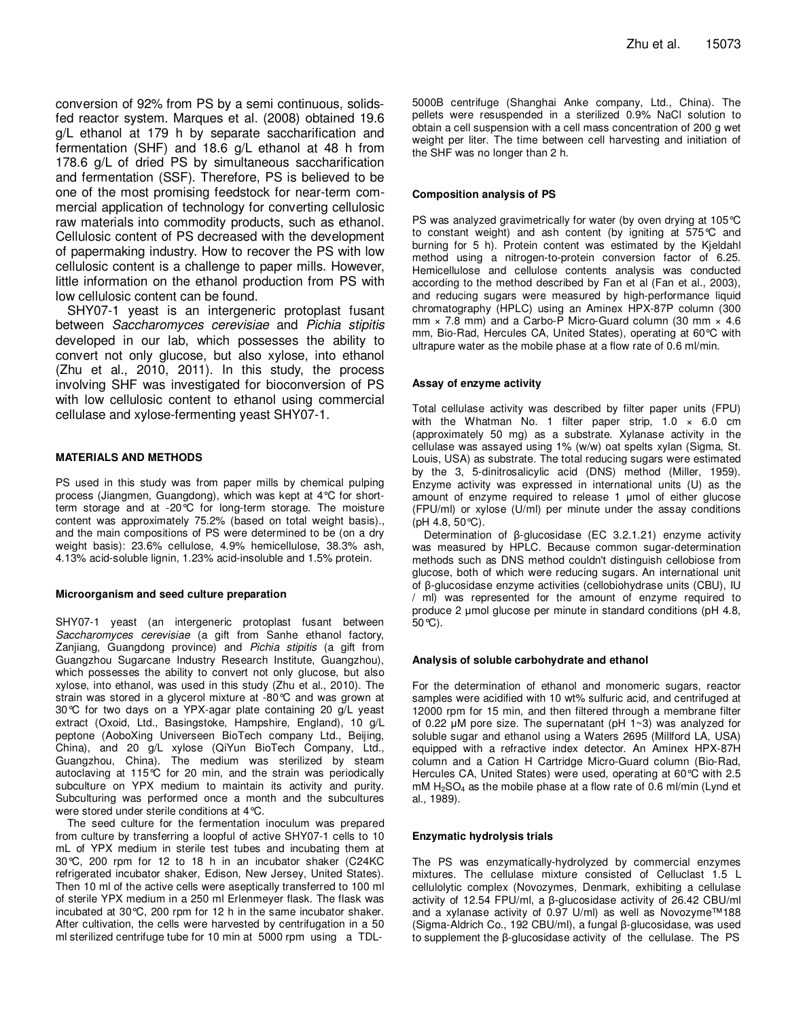conversion of 92% from PS by a semi continuous, solidsfed reactor system. Marques et al. (2008) obtained 19.6 g/L ethanol at 179 h by separate saccharification and fermentation (SHF) and 18.6 g/L ethanol at 48 h from 178.6 g/L of dried PS by simultaneous saccharification and fermentation (SSF). Therefore, PS is believed to be one of the most promising feedstock for near-term commercial application of technology for converting cellulosic raw materials into commodity products, such as ethanol. Cellulosic content of PS decreased with the development of papermaking industry. How to recover the PS with low cellulosic content is a challenge to paper mills. However, little information on the ethanol production from PS with low cellulosic content can be found.

SHY07-1 yeast is an intergeneric protoplast fusant between Saccharomyces cerevisiae and Pichia stipitis developed in our lab, which possesses the ability to convert not only glucose, but also xylose, into ethanol (Zhu et al., 2010, 2011). In this study, the process involving SHF was investigated for bioconversion of PS with low cellulosic content to ethanol using commercial cellulase and xylose-fermenting yeast SHY07-1.

#### **MATERIALS AND METHODS**

PS used in this study was from paper mills by chemical pulping process (Jiangmen, Guangdong), which was kept at 4°C for shortterm storage and at -20°C for long-term storage. The moisture content was approximately 75.2% (based on total weight basis)., and the main compositions of PS were determined to be (on a dry weight basis): 23.6% cellulose, 4.9% hemicellulose, 38.3% ash, 4.13% acid-soluble lignin, 1.23% acid-insoluble and 1.5% protein.

#### **Microorganism and seed culture preparation**

SHY07-1 yeast (an intergeneric protoplast fusant between Saccharomyces cerevisiae (a gift from Sanhe ethanol factory, Zanjiang, Guangdong province) and Pichia stipitis (a gift from Guangzhou Sugarcane Industry Research Institute, Guangzhou), which possesses the ability to convert not only glucose, but also xylose, into ethanol, was used in this study (Zhu et al., 2010). The strain was stored in a glycerol mixture at -80°C and was grown at 30°C for two days on a YPX-agar plate containing 20 g/L yeast extract (Oxoid, Ltd., Basingstoke, Hampshire, England), 10 g/L peptone (AoboXing Universeen BioTech company Ltd., Beijing, China), and 20 g/L xylose (QiYun BioTech Company, Ltd., Guangzhou, China). The medium was sterilized by steam autoclaving at 115°C for 20 min, and the strain was periodically subculture on YPX medium to maintain its activity and purity. Subculturing was performed once a month and the subcultures were stored under sterile conditions at 4°C.

The seed culture for the fermentation inoculum was prepared from culture by transferring a loopful of active SHY07-1 cells to 10 mL of YPX medium in sterile test tubes and incubating them at 30°C, 200 rpm for 12 to 18 h in an incubator shaker (C24KC refrigerated incubator shaker, Edison, New Jersey, United States). Then 10 ml of the active cells were aseptically transferred to 100 ml of sterile YPX medium in a 250 ml Erlenmeyer flask. The flask was incubated at 30°C, 200 rpm for 12 h in the same incubator shaker. After cultivation, the cells were harvested by centrifugation in a 50 ml sterilized centrifuge tube for 10 min at 5000 rpm using a TDL-

5000B centrifuge (Shanghai Anke company, Ltd., China). The pellets were resuspended in a sterilized 0.9% NaCl solution to obtain a cell suspension with a cell mass concentration of 200 g wet weight per liter. The time between cell harvesting and initiation of the SHF was no longer than 2 h.

#### **Composition analysis of PS**

PS was analyzed gravimetrically for water (by oven drying at 105°C to constant weight) and ash content (by igniting at 575°C and burning for 5 h). Protein content was estimated by the Kjeldahl method using a nitrogen-to-protein conversion factor of 6.25. Hemicellulose and cellulose contents analysis was conducted according to the method described by Fan et al (Fan et al., 2003), and reducing sugars were measured by high-performance liquid chromatography (HPLC) using an Aminex HPX-87P column (300 mm  $\times$  7.8 mm) and a Carbo-P Micro-Guard column (30 mm  $\times$  4.6 mm, Bio-Rad, Hercules CA, United States), operating at 60°C with ultrapure water as the mobile phase at a flow rate of 0.6 ml/min.

#### **Assay of enzyme activity**

Total cellulase activity was described by filter paper units (FPU) with the Whatman No. 1 filter paper strip,  $1.0 \times 6.0$  cm (approximately 50 mg) as a substrate. Xylanase activity in the cellulase was assayed using 1% (w/w) oat spelts xylan (Sigma, St. Louis, USA) as substrate. The total reducing sugars were estimated by the 3, 5-dinitrosalicylic acid (DNS) method (Miller, 1959). Enzyme activity was expressed in international units (U) as the amount of enzyme required to release 1 µmol of either glucose (FPU/ml) or xylose (U/ml) per minute under the assay conditions (pH 4.8, 50°C).

Determination of β-glucosidase (EC 3.2.1.21) enzyme activity was measured by HPLC. Because common sugar-determination methods such as DNS method couldn't distinguish cellobiose from glucose, both of which were reducing sugars. An international unit of β-glucosidase enzyme activities (cellobiohydrase units (CBU), IU / ml) was represented for the amount of enzyme required to produce 2 µmol glucose per minute in standard conditions (pH 4.8, 50°C).

#### **Analysis of soluble carbohydrate and ethanol**

For the determination of ethanol and monomeric sugars, reactor samples were acidified with 10 wt% sulfuric acid, and centrifuged at 12000 rpm for 15 min, and then filtered through a membrane filter of 0.22 µM pore size. The supernatant (pH 1~3) was analyzed for soluble sugar and ethanol using a Waters 2695 (Millford LA, USA) equipped with a refractive index detector. An Aminex HPX-87H column and a Cation H Cartridge Micro-Guard column (Bio-Rad, Hercules CA, United States) were used, operating at 60°C with 2.5 mM  $H<sub>2</sub>SO<sub>4</sub>$  as the mobile phase at a flow rate of 0.6 ml/min (Lynd et al., 1989).

#### **Enzymatic hydrolysis trials**

The PS was enzymatically-hydrolyzed by commercial enzymes mixtures. The cellulase mixture consisted of Celluclast 1.5 L cellulolytic complex (Novozymes, Denmark, exhibiting a cellulase activity of 12.54 FPU/ml, a β-glucosidase activity of 26.42 CBU/ml and a xylanase activity of 0.97 U/ml) as well as Novozyme™188 (Sigma-Aldrich Co., 192 CBU/ml), a fungal β-glucosidase, was used to supplement the β-glucosidase activity of the cellulase. The PS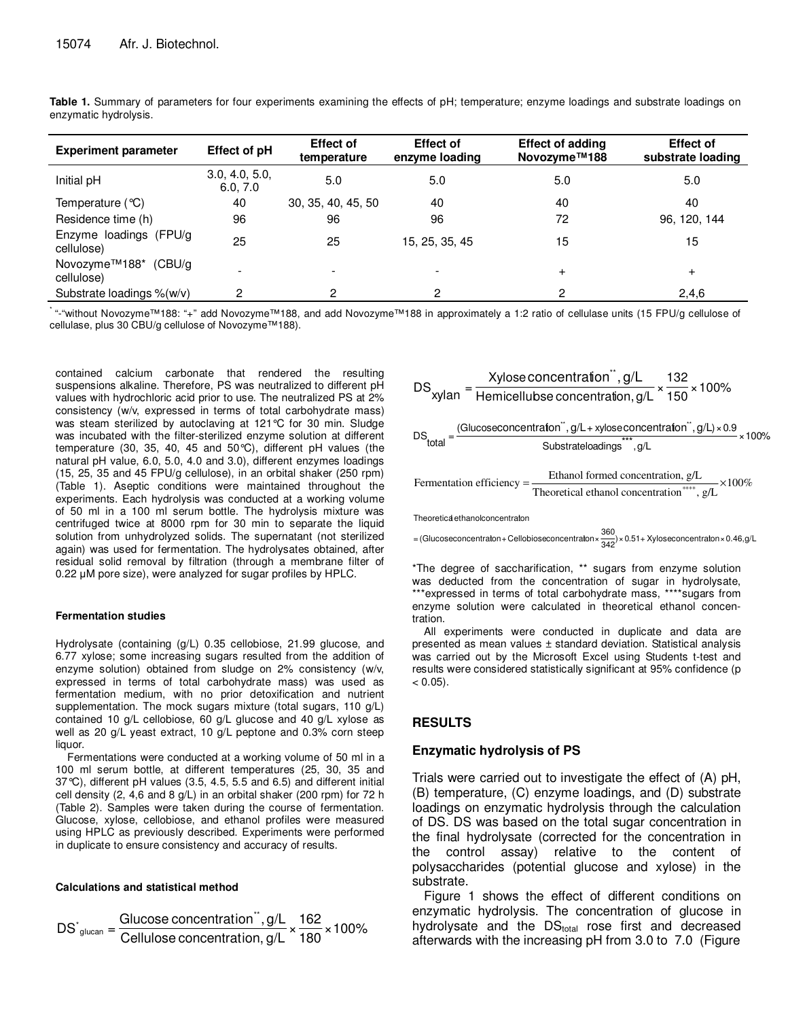| <b>Experiment parameter</b>           | Effect of pH               | <b>Effect of</b><br>temperature | <b>Effect of</b><br>enzyme loading | <b>Effect of adding</b><br>Novozyme™188 | <b>Effect of</b><br>substrate loading |
|---------------------------------------|----------------------------|---------------------------------|------------------------------------|-----------------------------------------|---------------------------------------|
| Initial pH                            | 3.0, 4.0, 5.0,<br>6.0, 7.0 | 5.0                             | 5.0                                | 5.0                                     | 5.0                                   |
| Temperature (°C)                      | 40                         | 30, 35, 40, 45, 50              | 40                                 | 40                                      | 40                                    |
| Residence time (h)                    | 96                         | 96                              | 96                                 | 72                                      | 96, 120, 144                          |
| Enzyme loadings (FPU/g<br>cellulose)  | 25                         | 25                              | 15, 25, 35, 45                     | 15                                      | 15                                    |
| Novozyme™188*<br>(CBU/g<br>cellulose) |                            |                                 |                                    | $\ddot{}$                               | $\ddot{}$                             |
| Substrate loadings %(w/v)             | ົ                          | 2                               | 2                                  | 2                                       | 2,4,6                                 |

**Table 1.** Summary of parameters for four experiments examining the effects of pH; temperature; enzyme loadings and substrate loadings on enzymatic hydrolysis.

\* "-"without Novozyme™188: "+" add Novozyme™188, and add Novozyme™188 in approximately a 1:2 ratio of cellulase units (15 FPU/g cellulose of cellulase, plus 30 CBU/g cellulose of Novozyme™188).

contained calcium carbonate that rendered the resulting suspensions alkaline. Therefore, PS was neutralized to different pH values with hydrochloric acid prior to use. The neutralized PS at 2% consistency (w/v, expressed in terms of total carbohydrate mass) was steam sterilized by autoclaving at 121°C for 30 min. Sludge was incubated with the filter-sterilized enzyme solution at different temperature (30, 35, 40, 45 and 50°C), different pH values (the natural pH value, 6.0, 5.0, 4.0 and 3.0), different enzymes loadings (15, 25, 35 and 45 FPU/g cellulose), in an orbital shaker (250 rpm) (Table 1). Aseptic conditions were maintained throughout the experiments. Each hydrolysis was conducted at a working volume of 50 ml in a 100 ml serum bottle. The hydrolysis mixture was centrifuged twice at 8000 rpm for 30 min to separate the liquid solution from unhydrolyzed solids. The supernatant (not sterilized again) was used for fermentation. The hydrolysates obtained, after residual solid removal by filtration (through a membrane filter of 0.22 µM pore size), were analyzed for sugar profiles by HPLC.

#### **Fermentation studies**

Hydrolysate (containing (g/L) 0.35 cellobiose, 21.99 glucose, and 6.77 xylose; some increasing sugars resulted from the addition of enzyme solution) obtained from sludge on 2% consistency (w/v, expressed in terms of total carbohydrate mass) was used as fermentation medium, with no prior detoxification and nutrient supplementation. The mock sugars mixture (total sugars, 110 g/L) contained 10 g/L cellobiose, 60 g/L glucose and 40 g/L xylose as well as 20 g/L yeast extract, 10 g/L peptone and 0.3% corn steep liquor.

Fermentations were conducted at a working volume of 50 ml in a 100 ml serum bottle, at different temperatures (25, 30, 35 and 37°C), different pH values (3.5, 4.5, 5.5 and 6.5) and different initial cell density (2, 4,6 and 8 g/L) in an orbital shaker (200 rpm) for 72 h (Table 2). Samples were taken during the course of fermentation. Glucose, xylose, cellobiose, and ethanol profiles were measured using HPLC as previously described. Experiments were performed in duplicate to ensure consistency and accuracy of results.

#### **Calculations and statistical method**

DS'<sub>glucan</sub> = 
$$
\frac{\text{Glucose concentration''}, g/L}{\text{Cellulose concentration}, g/L} \times \frac{162}{180} \times 100\%
$$

DS 
$$
V = \frac{Xy \text{.} + y \text{.}}{\text{Hemicellubse concentration, } g/L} \times \frac{132}{150} \times 100\%
$$
  
\n
$$
DS_{\text{total}} = \frac{(Glucoseconcentration\text{...}, g/L + xy \text{.} \times 100\%)}{\text{Substrateloading}} \times \frac{100\%}{100\%}
$$
  
\nFermentation efficiency = 
$$
\frac{E \text{.} + xy \text{.} \times 100\%}{\text{Theoretical ethanol concentration, } g/L} \times 100\%
$$

Theoretical ethanolconcentration

= (Glucoseconcentraton + Cellobioseconcentraton × 
$$
\frac{360}{342}
$$
) × 0.51 + Xyloseconcentraton × 0.46, g/L

\*The degree of saccharification, \*\* sugars from enzyme solution was deducted from the concentration of sugar in hydrolysate, \*\*\*expressed in terms of total carbohydrate mass, \*\*\*\*sugars from enzyme solution were calculated in theoretical ethanol concentration.

All experiments were conducted in duplicate and data are presented as mean values ± standard deviation. Statistical analysis was carried out by the Microsoft Excel using Students t-test and results were considered statistically significant at 95% confidence (p  $< 0.05$ ).

## **RESULTS**

#### **Enzymatic hydrolysis of PS**

Trials were carried out to investigate the effect of (A) pH, (B) temperature, (C) enzyme loadings, and (D) substrate loadings on enzymatic hydrolysis through the calculation of DS. DS was based on the total sugar concentration in the final hydrolysate (corrected for the concentration in the control assay) relative to the content of polysaccharides (potential glucose and xylose) in the substrate.

Figure 1 shows the effect of different conditions on enzymatic hydrolysis. The concentration of glucose in hydrolysate and the  $DS<sub>total</sub>$  rose first and decreased afterwards with the increasing pH from 3.0 to 7.0 (Figure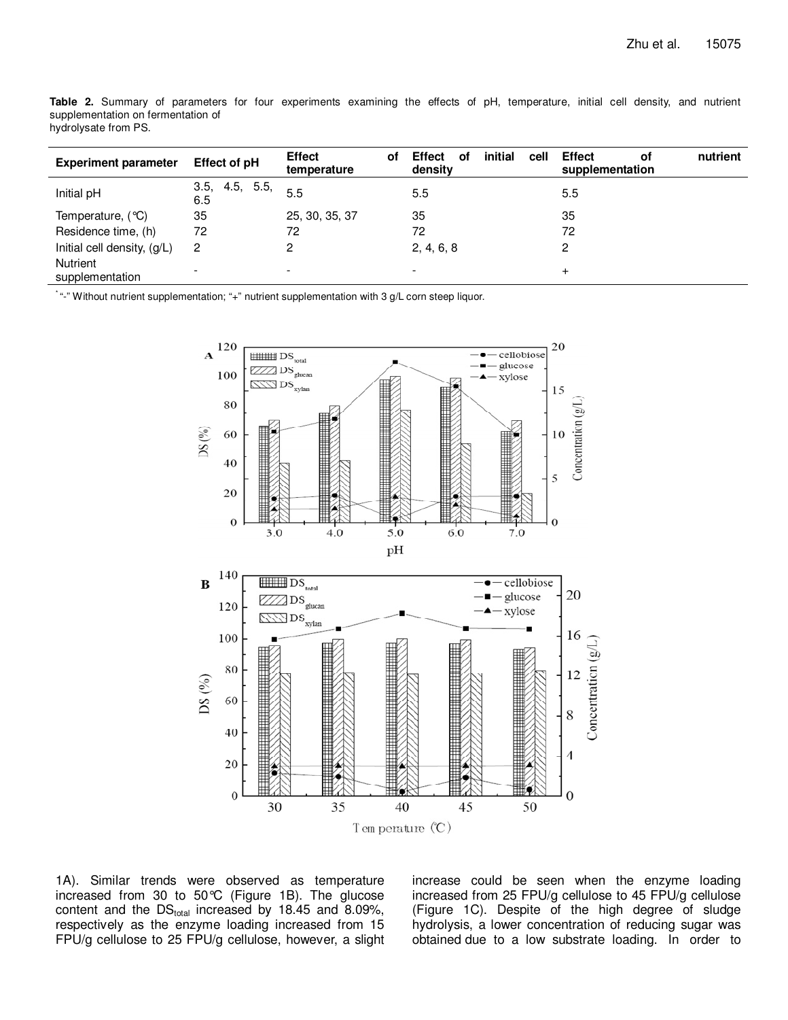**Table 2.** Summary of parameters for four experiments examining the effects of pH, temperature, initial cell density, and nutrient supplementation on fermentation of hydrolysate from PS.

| <b>Experiment parameter</b>        | Effect of pH             | <b>Effect</b><br>οf<br>temperature | initial<br><b>Effect</b><br>cell<br>οf<br>density | <b>Effect</b><br>nutrient<br>οf<br>supplementation |
|------------------------------------|--------------------------|------------------------------------|---------------------------------------------------|----------------------------------------------------|
| Initial pH                         | 4.5, 5.5,<br>3.5,<br>6.5 | 5.5                                | 5.5                                               | 5.5                                                |
| Temperature, $(C)$                 | 35                       | 25, 30, 35, 37                     | 35                                                | 35                                                 |
| Residence time, (h)                | 72                       | 72                                 | 72                                                | 72                                                 |
| Initial cell density, $(g/L)$      | $\overline{2}$           | 2                                  | 2, 4, 6, 8                                        | 2                                                  |
| <b>Nutrient</b><br>supplementation | $\overline{\phantom{a}}$ | -                                  |                                                   | ÷                                                  |

\*"-" Without nutrient supplementation; "+" nutrient supplementation with 3 g/L corn steep liquor.



1A). Similar trends were observed as temperature increased from 30 to 50°C (Figure 1B). The glucose content and the  $DS<sub>total</sub>$  increased by 18.45 and 8.09%, respectively as the enzyme loading increased from 15 FPU/g cellulose to 25 FPU/g cellulose, however, a slight increase could be seen when the enzyme loading increased from 25 FPU/g cellulose to 45 FPU/g cellulose (Figure 1C). Despite of the high degree of sludge hydrolysis, a lower concentration of reducing sugar was obtained due to a low substrate loading. In order to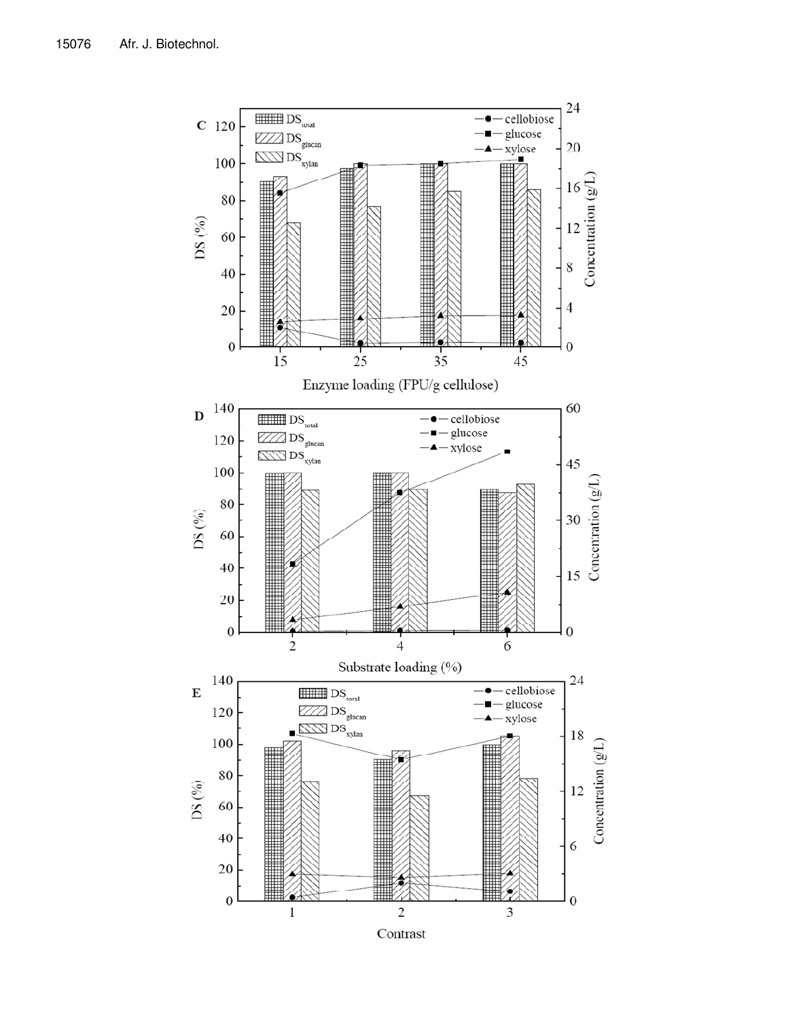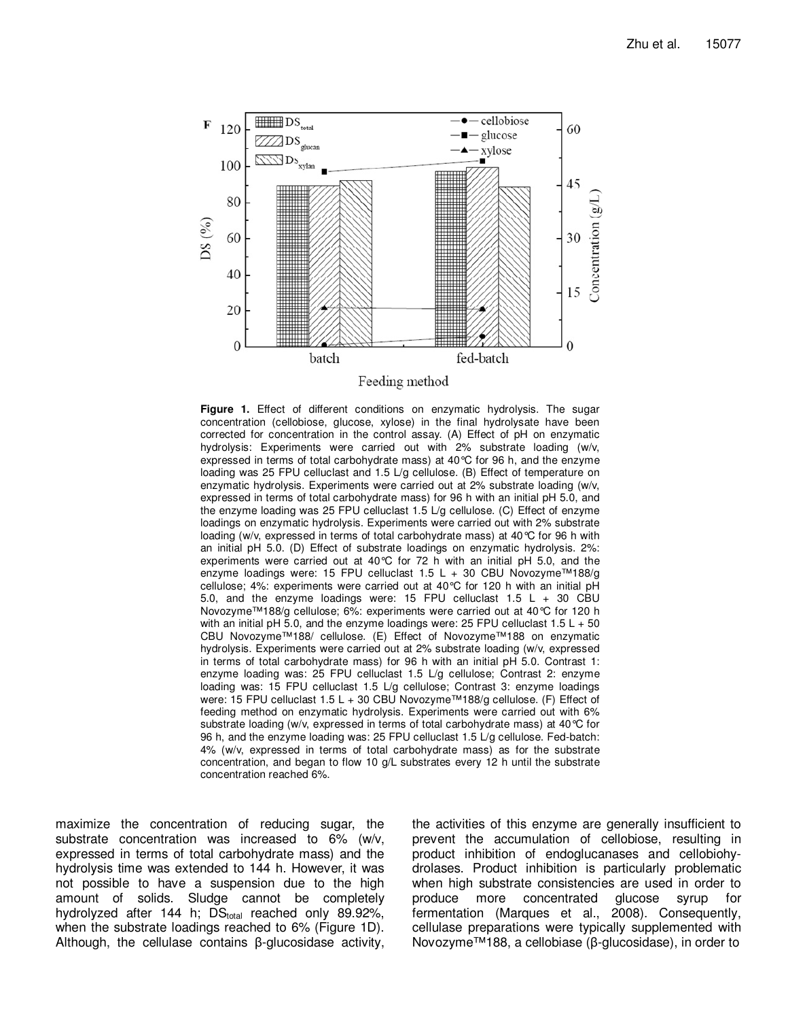

**Figure 1.** Effect of different conditions on enzymatic hydrolysis. The sugar concentration (cellobiose, glucose, xylose) in the final hydrolysate have been corrected for concentration in the control assay. (A) Effect of pH on enzymatic hydrolysis: Experiments were carried out with 2% substrate loading (w/v, expressed in terms of total carbohydrate mass) at 40°C for 96 h, and the enzyme loading was 25 FPU celluclast and 1.5 L/g cellulose. (B) Effect of temperature on enzymatic hydrolysis. Experiments were carried out at 2% substrate loading (w/v, expressed in terms of total carbohydrate mass) for 96 h with an initial pH 5.0, and the enzyme loading was 25 FPU celluclast 1.5 L/g cellulose. (C) Effect of enzyme loadings on enzymatic hydrolysis. Experiments were carried out with 2% substrate loading (w/v, expressed in terms of total carbohydrate mass) at 40°C for 96 h with an initial pH 5.0. (D) Effect of substrate loadings on enzymatic hydrolysis. 2%: experiments were carried out at 40°C for 72 h with an initial pH 5.0, and the enzyme loadings were: 15 FPU celluclast 1.5 L + 30 CBU Novozyme™188/g cellulose; 4%: experiments were carried out at 40°C for 120 h with an initial pH 5.0, and the enzyme loadings were: 15 FPU celluclast 1.5 L + 30 CBU Novozyme™188/g cellulose; 6%: experiments were carried out at 40°C for 120 h with an initial pH 5.0, and the enzyme loadings were: 25 FPU celluclast  $1.5 L + 50$ CBU Novozyme™188/ cellulose. (E) Effect of Novozyme™188 on enzymatic hydrolysis. Experiments were carried out at 2% substrate loading (w/v, expressed in terms of total carbohydrate mass) for 96 h with an initial pH 5.0. Contrast 1: enzyme loading was: 25 FPU celluclast 1.5 L/g cellulose; Contrast 2: enzyme loading was: 15 FPU celluclast 1.5 L/g cellulose; Contrast 3: enzyme loadings were: 15 FPU celluclast 1.5 L + 30 CBU Novozyme™188/g cellulose. (F) Effect of feeding method on enzymatic hydrolysis. Experiments were carried out with 6% substrate loading (w/v, expressed in terms of total carbohydrate mass) at 40 $\degree$ C for 96 h, and the enzyme loading was: 25 FPU celluclast 1.5 L/g cellulose. Fed-batch: 4% (w/v, expressed in terms of total carbohydrate mass) as for the substrate concentration, and began to flow 10 g/L substrates every 12 h until the substrate concentration reached 6%.

maximize the concentration of reducing sugar, the substrate concentration was increased to 6% (w/v, expressed in terms of total carbohydrate mass) and the hydrolysis time was extended to 144 h. However, it was not possible to have a suspension due to the high amount of solids. Sludge cannot be completely hydrolyzed after 144 h;  $DS<sub>total</sub>$  reached only 89.92%, when the substrate loadings reached to 6% (Figure 1D). Although, the cellulase contains β-glucosidase activity,

the activities of this enzyme are generally insufficient to prevent the accumulation of cellobiose, resulting in product inhibition of endoglucanases and cellobiohydrolases. Product inhibition is particularly problematic when high substrate consistencies are used in order to produce more concentrated glucose syrup for fermentation (Marques et al., 2008). Consequently, cellulase preparations were typically supplemented with Novozyme™188, a cellobiase (β-glucosidase), in order to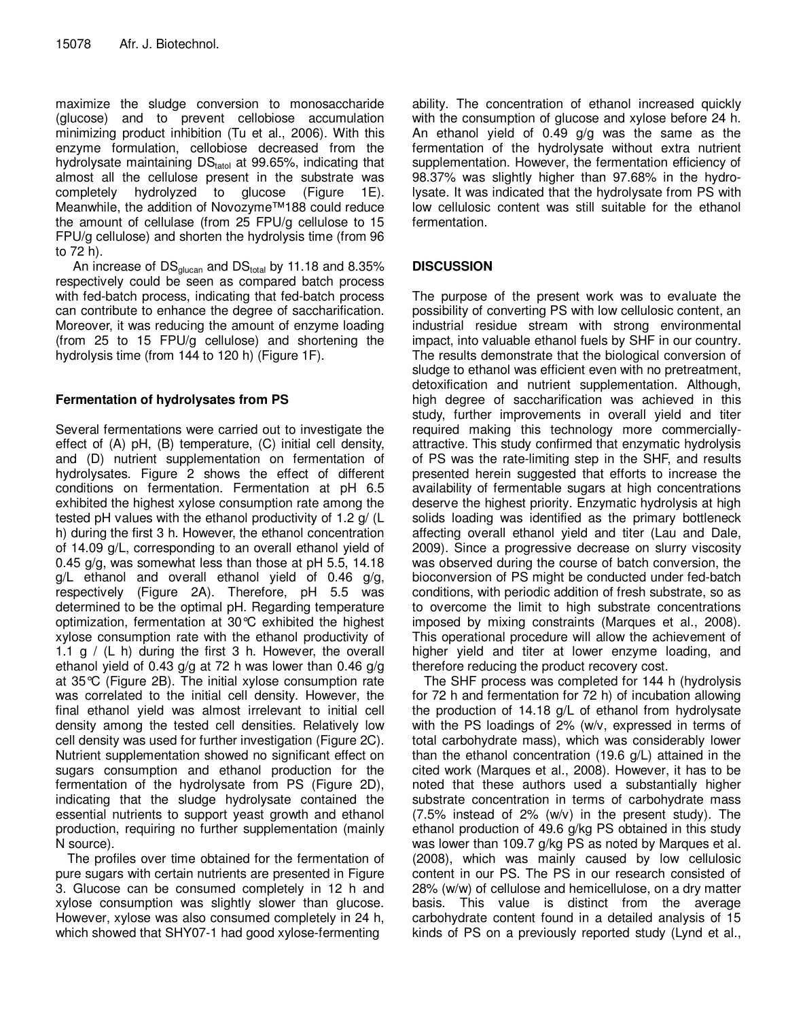maximize the sludge conversion to monosaccharide (glucose) and to prevent cellobiose accumulation minimizing product inhibition (Tu et al., 2006). With this enzyme formulation, cellobiose decreased from the hydrolysate maintaining  $DS<sub>tatol</sub>$  at 99.65%, indicating that almost all the cellulose present in the substrate was completely hydrolyzed to glucose (Figure 1E). Meanwhile, the addition of Novozyme™188 could reduce the amount of cellulase (from 25 FPU/g cellulose to 15 FPU/g cellulose) and shorten the hydrolysis time (from 96 to 72 h).

An increase of  $DS<sub>glucan</sub>$  and  $DS<sub>total</sub>$  by 11.18 and 8.35% respectively could be seen as compared batch process with fed-batch process, indicating that fed-batch process can contribute to enhance the degree of saccharification. Moreover, it was reducing the amount of enzyme loading (from 25 to 15 FPU/g cellulose) and shortening the hydrolysis time (from 144 to 120 h) (Figure 1F).

# **Fermentation of hydrolysates from PS**

Several fermentations were carried out to investigate the effect of (A) pH, (B) temperature, (C) initial cell density, and (D) nutrient supplementation on fermentation of hydrolysates. Figure 2 shows the effect of different conditions on fermentation. Fermentation at pH 6.5 exhibited the highest xylose consumption rate among the tested pH values with the ethanol productivity of 1.2 g/ (L h) during the first 3 h. However, the ethanol concentration of 14.09 g/L, corresponding to an overall ethanol yield of 0.45 g/g, was somewhat less than those at pH 5.5, 14.18 g/L ethanol and overall ethanol yield of 0.46 g/g, respectively (Figure 2A). Therefore, pH 5.5 was determined to be the optimal pH. Regarding temperature optimization, fermentation at 30°C exhibited the highest xylose consumption rate with the ethanol productivity of 1.1 g  $/$  (L h) during the first 3 h. However, the overall ethanol yield of 0.43 g/g at 72 h was lower than 0.46 g/g at 35°C (Figure 2B). The initial xylose consumption rate was correlated to the initial cell density. However, the final ethanol yield was almost irrelevant to initial cell density among the tested cell densities. Relatively low cell density was used for further investigation (Figure 2C). Nutrient supplementation showed no significant effect on sugars consumption and ethanol production for the fermentation of the hydrolysate from PS (Figure 2D), indicating that the sludge hydrolysate contained the essential nutrients to support yeast growth and ethanol production, requiring no further supplementation (mainly N source).

The profiles over time obtained for the fermentation of pure sugars with certain nutrients are presented in Figure 3. Glucose can be consumed completely in 12 h and xylose consumption was slightly slower than glucose. However, xylose was also consumed completely in 24 h, which showed that SHY07-1 had good xylose-fermenting

ability. The concentration of ethanol increased quickly with the consumption of glucose and xylose before 24 h. An ethanol yield of 0.49 g/g was the same as the fermentation of the hydrolysate without extra nutrient supplementation. However, the fermentation efficiency of 98.37% was slightly higher than 97.68% in the hydrolysate. It was indicated that the hydrolysate from PS with low cellulosic content was still suitable for the ethanol fermentation.

# **DISCUSSION**

The purpose of the present work was to evaluate the possibility of converting PS with low cellulosic content, an industrial residue stream with strong environmental impact, into valuable ethanol fuels by SHF in our country. The results demonstrate that the biological conversion of sludge to ethanol was efficient even with no pretreatment, detoxification and nutrient supplementation. Although, high degree of saccharification was achieved in this study, further improvements in overall yield and titer required making this technology more commerciallyattractive. This study confirmed that enzymatic hydrolysis of PS was the rate-limiting step in the SHF, and results presented herein suggested that efforts to increase the availability of fermentable sugars at high concentrations deserve the highest priority. Enzymatic hydrolysis at high solids loading was identified as the primary bottleneck affecting overall ethanol yield and titer (Lau and Dale, 2009). Since a progressive decrease on slurry viscosity was observed during the course of batch conversion, the bioconversion of PS might be conducted under fed-batch conditions, with periodic addition of fresh substrate, so as to overcome the limit to high substrate concentrations imposed by mixing constraints (Marques et al., 2008). This operational procedure will allow the achievement of higher yield and titer at lower enzyme loading, and therefore reducing the product recovery cost.

The SHF process was completed for 144 h (hydrolysis for 72 h and fermentation for 72 h) of incubation allowing the production of 14.18 g/L of ethanol from hydrolysate with the PS loadings of 2% (w/v, expressed in terms of total carbohydrate mass), which was considerably lower than the ethanol concentration (19.6 g/L) attained in the cited work (Marques et al., 2008). However, it has to be noted that these authors used a substantially higher substrate concentration in terms of carbohydrate mass (7.5% instead of 2% (w/v) in the present study). The ethanol production of 49.6 g/kg PS obtained in this study was lower than 109.7 g/kg PS as noted by Marques et al. (2008), which was mainly caused by low cellulosic content in our PS. The PS in our research consisted of 28% (w/w) of cellulose and hemicellulose, on a dry matter basis. This value is distinct from the average carbohydrate content found in a detailed analysis of 15 kinds of PS on a previously reported study (Lynd et al.,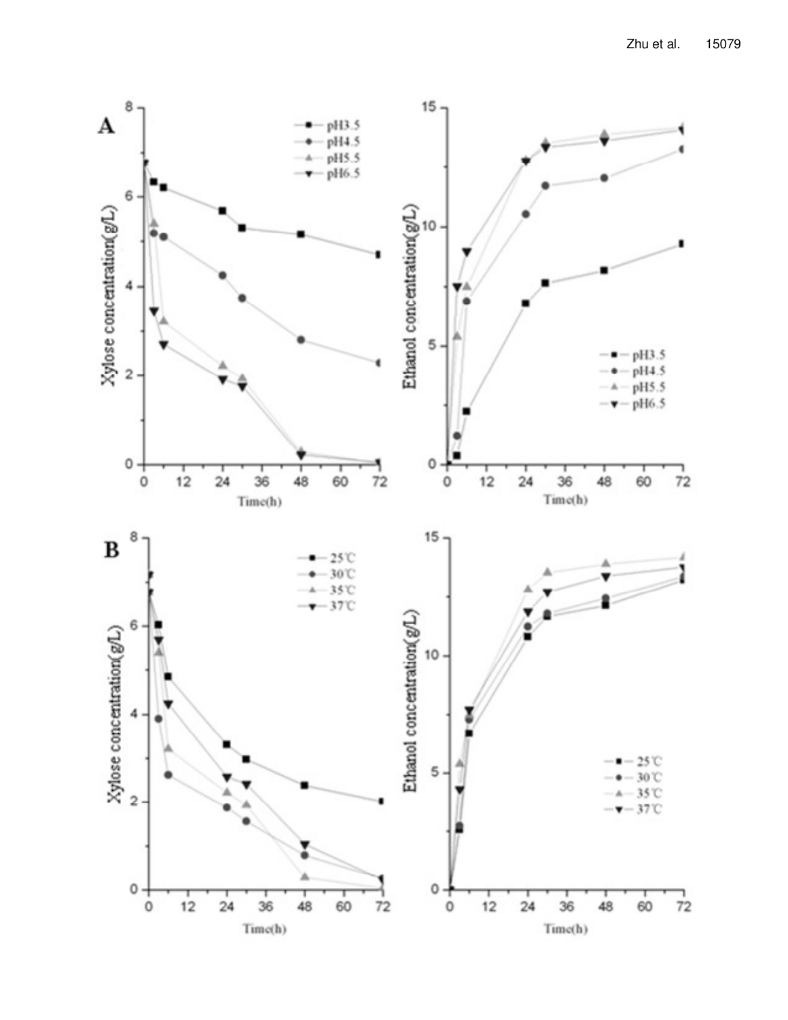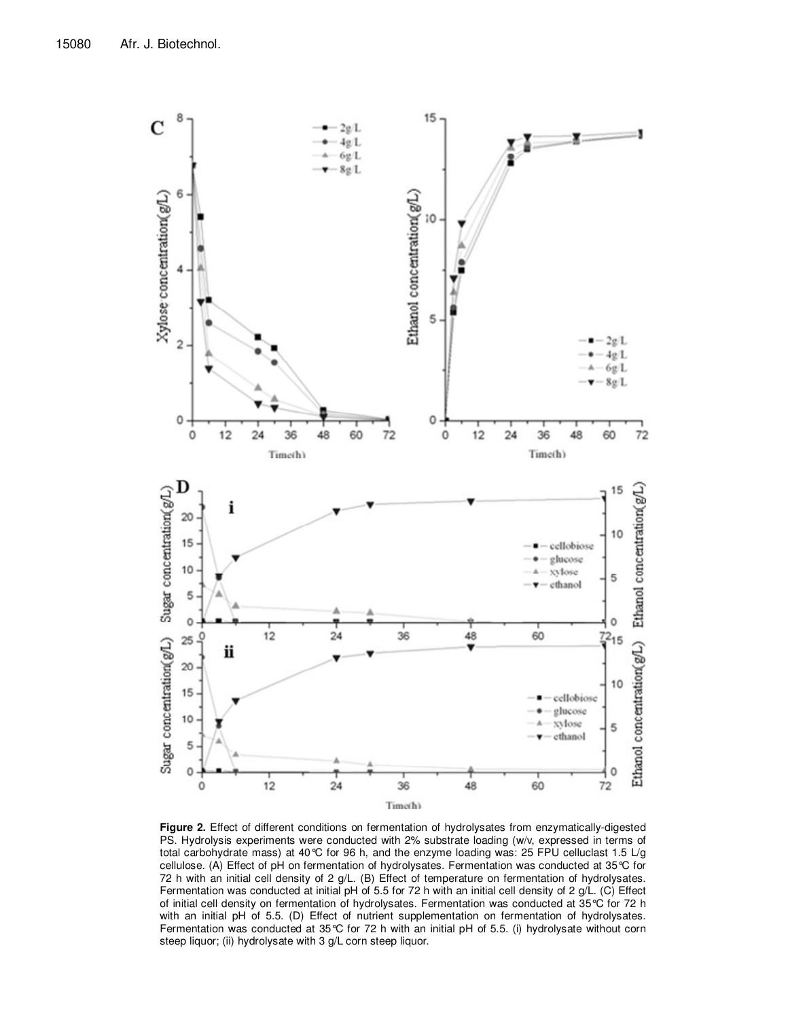

**Figure 2.** Effect of different conditions on fermentation of hydrolysates from enzymatically-digested PS. Hydrolysis experiments were conducted with 2% substrate loading (w/v, expressed in terms of total carbohydrate mass) at 40°C for 96 h, and the enzyme loading was: 25 FPU celluclast 1.5 L/g cellulose. (A) Effect of pH on fermentation of hydrolysates. Fermentation was conducted at 35°C for 72 h with an initial cell density of 2 g/L. (B) Effect of temperature on fermentation of hydrolysates. Fermentation was conducted at initial pH of 5.5 for 72 h with an initial cell density of 2 g/L. (C) Effect of initial cell density on fermentation of hydrolysates. Fermentation was conducted at 35°C for 72 h with an initial pH of 5.5. (D) Effect of nutrient supplementation on fermentation of hydrolysates. Fermentation was conducted at 35°C for 72 h with an initial pH of 5.5. (i) hydrolysate without corn steep liquor; (ii) hydrolysate with 3 g/L corn steep liquor.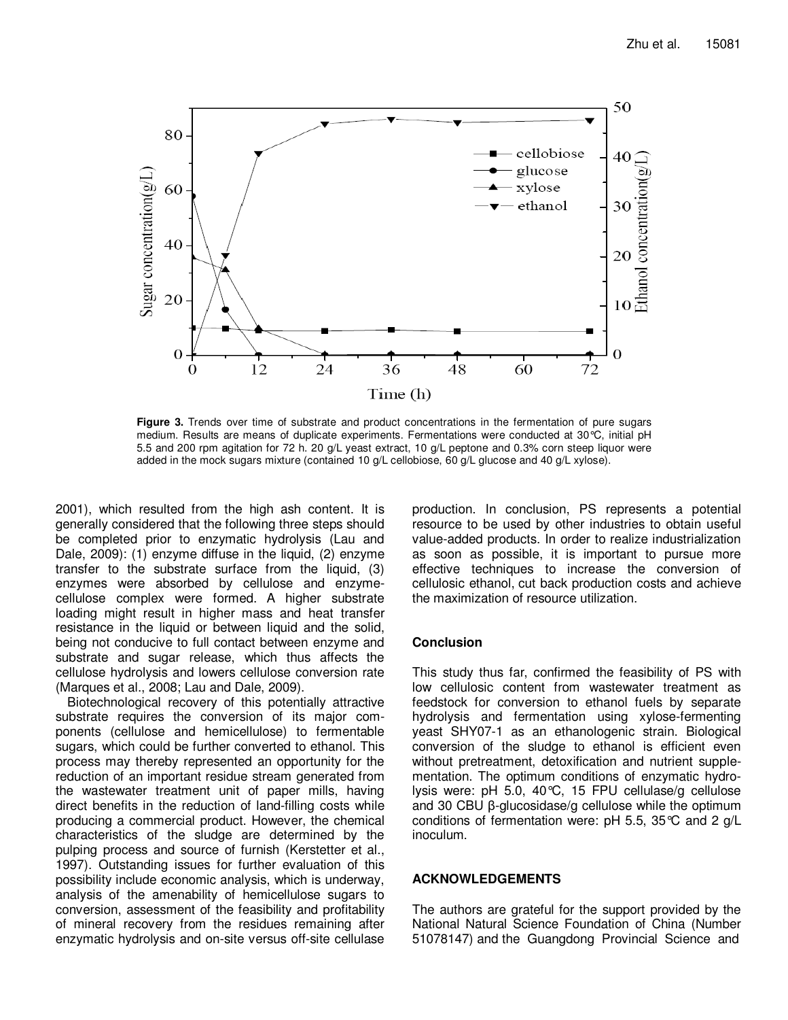

**Figure 3.** Trends over time of substrate and product concentrations in the fermentation of pure sugars medium. Results are means of duplicate experiments. Fermentations were conducted at 30°C, initial pH 5.5 and 200 rpm agitation for 72 h. 20 g/L yeast extract, 10 g/L peptone and 0.3% corn steep liquor were added in the mock sugars mixture (contained 10 g/L cellobiose, 60 g/L glucose and 40 g/L xylose).

2001), which resulted from the high ash content. It is generally considered that the following three steps should be completed prior to enzymatic hydrolysis (Lau and Dale, 2009): (1) enzyme diffuse in the liquid, (2) enzyme transfer to the substrate surface from the liquid, (3) enzymes were absorbed by cellulose and enzymecellulose complex were formed. A higher substrate loading might result in higher mass and heat transfer resistance in the liquid or between liquid and the solid, being not conducive to full contact between enzyme and substrate and sugar release, which thus affects the cellulose hydrolysis and lowers cellulose conversion rate (Marques et al., 2008; Lau and Dale, 2009).

Biotechnological recovery of this potentially attractive substrate requires the conversion of its major components (cellulose and hemicellulose) to fermentable sugars, which could be further converted to ethanol. This process may thereby represented an opportunity for the reduction of an important residue stream generated from the wastewater treatment unit of paper mills, having direct benefits in the reduction of land-filling costs while producing a commercial product. However, the chemical characteristics of the sludge are determined by the pulping process and source of furnish (Kerstetter et al., 1997). Outstanding issues for further evaluation of this possibility include economic analysis, which is underway, analysis of the amenability of hemicellulose sugars to conversion, assessment of the feasibility and profitability of mineral recovery from the residues remaining after enzymatic hydrolysis and on-site versus off-site cellulase production. In conclusion, PS represents a potential resource to be used by other industries to obtain useful value-added products. In order to realize industrialization as soon as possible, it is important to pursue more effective techniques to increase the conversion of cellulosic ethanol, cut back production costs and achieve the maximization of resource utilization.

#### **Conclusion**

This study thus far, confirmed the feasibility of PS with low cellulosic content from wastewater treatment as feedstock for conversion to ethanol fuels by separate hydrolysis and fermentation using xylose-fermenting yeast SHY07-1 as an ethanologenic strain. Biological conversion of the sludge to ethanol is efficient even without pretreatment, detoxification and nutrient supplementation. The optimum conditions of enzymatic hydrolysis were: pH 5.0, 40°C, 15 FPU cellulase/g cellulose and 30 CBU β-glucosidase/g cellulose while the optimum conditions of fermentation were: pH 5.5, 35°C and 2 g/L inoculum.

## **ACKNOWLEDGEMENTS**

The authors are grateful for the support provided by the National Natural Science Foundation of China (Number 51078147) and the Guangdong Provincial Science and